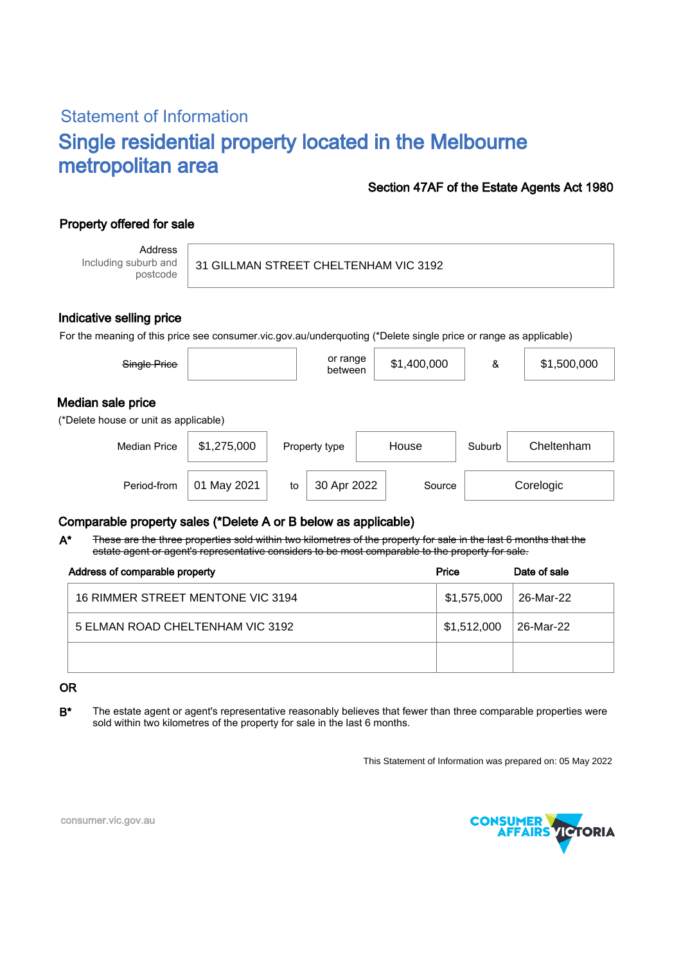# Statement of Information Single residential property located in the Melbourne metropolitan area

### Section 47AF of the Estate Agents Act 1980

## Property offered for sale

Address Including suburb and postcode

#### 31 GILLMAN STREET CHELTENHAM VIC 3192

#### Indicative selling price

For the meaning of this price see consumer.vic.gov.au/underquoting (\*Delete single price or range as applicable)

| Single Price                                               |                |    | or range<br>between |  | \$1,400,000 | &      | \$1,500,000 |
|------------------------------------------------------------|----------------|----|---------------------|--|-------------|--------|-------------|
| Median sale price<br>(*Delete house or unit as applicable) |                |    |                     |  |             |        |             |
| <b>Median Price</b>                                        | \$1,275,000    |    | Property type       |  | House       | Suburb | Cheltenham  |
| Period-from                                                | May 2021<br>01 | to | 30 Apr 2022         |  | Source      |        | Corelogic   |

## Comparable property sales (\*Delete A or B below as applicable)

These are the three properties sold within two kilometres of the property for sale in the last 6 months that the estate agent or agent's representative considers to be most comparable to the property for sale. A\*

| Address of comparable property    | Price       | Date of sale |  |
|-----------------------------------|-------------|--------------|--|
| 16 RIMMER STREET MENTONE VIC 3194 | \$1,575,000 | 26-Mar-22    |  |
| 5 ELMAN ROAD CHELTENHAM VIC 3192  | \$1,512,000 | 26-Mar-22    |  |
|                                   |             |              |  |

#### OR

B<sup>\*</sup> The estate agent or agent's representative reasonably believes that fewer than three comparable properties were sold within two kilometres of the property for sale in the last 6 months.

This Statement of Information was prepared on: 05 May 2022



consumer.vic.gov.au